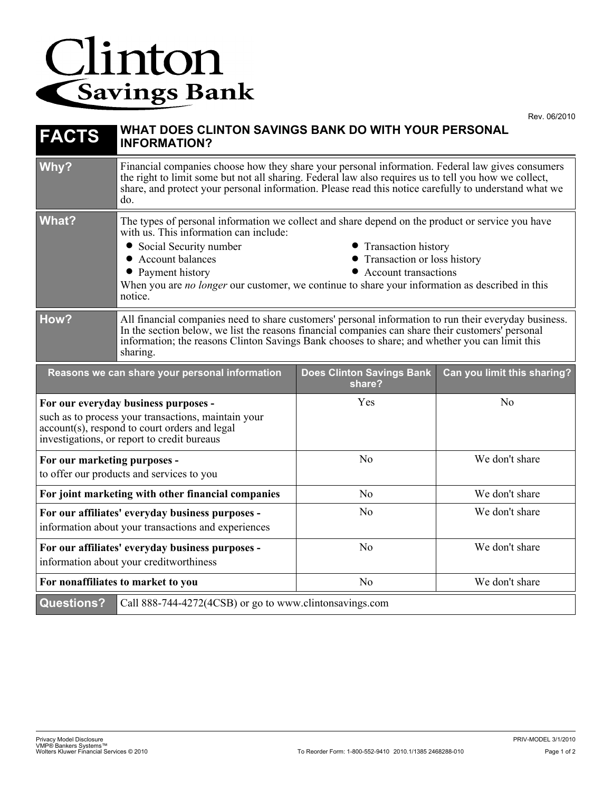## Clinton

| <b>FACTS</b>                                                                                                                                                                                | WHAT DOES CLINTON SAVINGS BANK DO WITH YOUR PERSONAL<br><b>INFORMATION?</b>                                                                                                                                                                                                                                                                                                                                         |                                            |                             |
|---------------------------------------------------------------------------------------------------------------------------------------------------------------------------------------------|---------------------------------------------------------------------------------------------------------------------------------------------------------------------------------------------------------------------------------------------------------------------------------------------------------------------------------------------------------------------------------------------------------------------|--------------------------------------------|-----------------------------|
| Why?                                                                                                                                                                                        | Financial companies choose how they share your personal information. Federal law gives consumers<br>the right to limit some but not all sharing. Federal law also requires us to tell you how we collect,<br>share, and protect your personal information. Please read this notice carefully to understand what we<br>do.                                                                                           |                                            |                             |
| <b>What?</b>                                                                                                                                                                                | The types of personal information we collect and share depend on the product or service you have<br>with us. This information can include:<br>• Social Security number<br>• Transaction history<br>• Account balances<br>• Transaction or loss history<br>• Account transactions<br>• Payment history<br>When you are no longer our customer, we continue to share your information as described in this<br>notice. |                                            |                             |
| How?                                                                                                                                                                                        | All financial companies need to share customers' personal information to run their everyday business.<br>In the section below, we list the reasons financial companies can share their customers' personal<br>information; the reasons Clinton Savings Bank chooses to share; and whether you can limit this<br>sharing.                                                                                            |                                            |                             |
| Reasons we can share your personal information                                                                                                                                              |                                                                                                                                                                                                                                                                                                                                                                                                                     | <b>Does Clinton Savings Bank</b><br>share? | Can you limit this sharing? |
| For our everyday business purposes -<br>such as to process your transactions, maintain your<br>account(s), respond to court orders and legal<br>investigations, or report to credit bureaus |                                                                                                                                                                                                                                                                                                                                                                                                                     | Yes                                        | No                          |
| For our marketing purposes -<br>to offer our products and services to you                                                                                                                   |                                                                                                                                                                                                                                                                                                                                                                                                                     | N <sub>o</sub>                             | We don't share              |
| For joint marketing with other financial companies                                                                                                                                          |                                                                                                                                                                                                                                                                                                                                                                                                                     | N <sub>o</sub>                             | We don't share              |
| For our affiliates' everyday business purposes -<br>information about your transactions and experiences                                                                                     |                                                                                                                                                                                                                                                                                                                                                                                                                     | N <sub>0</sub>                             | We don't share              |
| For our affiliates' everyday business purposes -<br>information about your creditworthiness                                                                                                 |                                                                                                                                                                                                                                                                                                                                                                                                                     | No                                         | We don't share              |
| For nonaffiliates to market to you                                                                                                                                                          |                                                                                                                                                                                                                                                                                                                                                                                                                     |                                            |                             |
|                                                                                                                                                                                             |                                                                                                                                                                                                                                                                                                                                                                                                                     | No                                         | We don't share              |